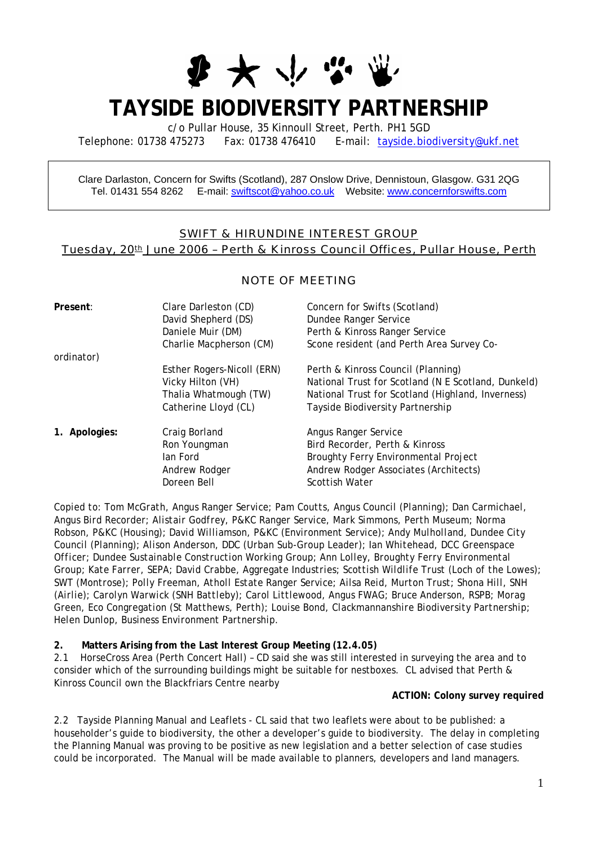

# **TAYSIDE BIODIVERSITY PARTNERSHIP**

c/o Pullar House, 35 Kinnoull Street, Perth. PH1 5GD

Telephone: 01738 475273 Fax: 01738 476410 E-mail: [tayside.biodiversity@ukf.net](mailto:tayside.biodiversity@ukf.net)

Clare Darlaston, Concern for Swifts (Scotland), 287 Onslow Drive, Dennistoun, Glasgow. G31 2QG Tel. 01431 554 8262 E-mail: [swiftscot@yahoo.co.uk](mailto:swiftscot@yahoo.co.uk) Website: www.concernforswifts.com

# SWIFT & HIRUNDINE INTEREST GROUP Tuesday, 20th June 2006 - Perth & Kinross Council Offices, Pullar House, Perth

# NOTE OF MEETING

| Present:      | Clare Darleston (CD)<br>David Shepherd (DS)<br>Daniele Muir (DM)<br>Charlie Macpherson (CM)      | Concern for Swifts (Scotland)<br>Dundee Ranger Service<br>Perth & Kinross Ranger Service<br>Scone resident (and Perth Area Survey Co-                                              |
|---------------|--------------------------------------------------------------------------------------------------|------------------------------------------------------------------------------------------------------------------------------------------------------------------------------------|
| ordinator)    | Esther Rogers-Nicoll (ERN)<br>Vicky Hilton (VH)<br>Thalia Whatmough (TW)<br>Catherine Lloyd (CL) | Perth & Kinross Council (Planning)<br>National Trust for Scotland (N E Scotland, Dunkeld)<br>National Trust for Scotland (Highland, Inverness)<br>Tayside Biodiversity Partnership |
| 1. Apologies: | Craig Borland<br>Ron Youngman<br>lan Ford<br>Andrew Rodger<br>Doreen Bell                        | Angus Ranger Service<br>Bird Recorder, Perth & Kinross<br><b>Broughty Ferry Environmental Project</b><br>Andrew Rodger Associates (Architects)<br><b>Scottish Water</b>            |

*Copied to: Tom McGrath, Angus Ranger Service; Pam Coutts, Angus Council (Planning); Dan Carmichael, Angus Bird Recorder; Alistair Godfrey, P&KC Ranger Service, Mark Simmons, Perth Museum; Norma Robson, P&KC (Housing); David Williamson, P&KC (Environment Service); Andy Mulholland, Dundee City Council (Planning); Alison Anderson, DDC (Urban Sub-Group Leader); Ian Whitehead, DCC Greenspace Officer; Dundee Sustainable Construction Working Group; Ann Lolley, Broughty Ferry Environmental Group; Kate Farrer, SEPA; David Crabbe, Aggregate Industries; Scottish Wildlife Trust (Loch of the Lowes); SWT (Montrose); Polly Freeman, Atholl Estate Ranger Service; Ailsa Reid, Murton Trust; Shona Hill, SNH (Airlie); Carolyn Warwick (SNH Battleby); Carol Littlewood, Angus FWAG; Bruce Anderson, RSPB; Morag Green, Eco Congregation (St Matthews, Perth); Louise Bond, Clackmannanshire Biodiversity Partnership; Helen Dunlop, Business Environment Partnership.* 

#### **2. Matters Arising from the Last Interest Group Meeting (12.4.05)**

2.1 HorseCross Area (Perth Concert Hall) – CD said she was still interested in surveying the area and to consider which of the surrounding buildings might be suitable for nestboxes. CL advised that Perth & Kinross Council own the Blackfriars Centre nearby

#### **ACTION: Colony survey required**

2.2 Tayside Planning Manual and Leaflets - CL said that two leaflets were about to be published: a householder's guide to biodiversity, the other a developer's guide to biodiversity. The delay in completing the Planning Manual was proving to be positive as new legislation and a better selection of case studies could be incorporated. The Manual will be made available to planners, developers and land managers.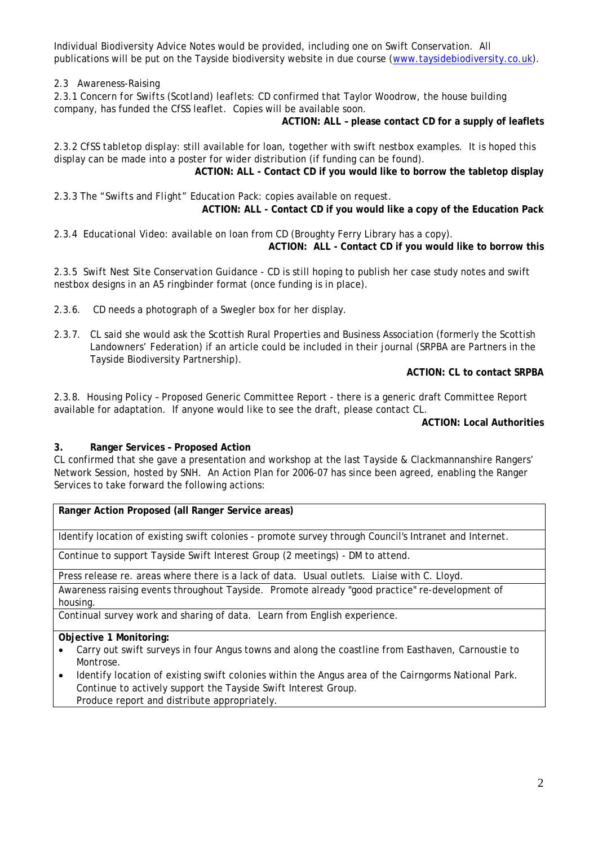Individual Biodiversity Advice Notes would be provided, including one on Swift Conservation. All publications will be put on the Tayside biodiversity website in due course [\(www.taysidebiodiversity.co.uk](http://www.taysidebiodiversity.co.uk/)).

2.3Awareness-Raising

2.3.1 *Concern for Swifts (Scotland) leaflets*: CD confirmed that Taylor Woodrow, the house building company, has funded the CfSS leaflet. Copies will be available soon.

**ACTION: ALL – please contact CD for a supply of leaflets** 

2.3.2 *CfSS tabletop display*: still available for loan, together with swift nestbox examples. It is hoped this display can be made into a poster for wider distribution (if funding can be found).

**ACTION: ALL - Contact CD if you would like to borrow the tabletop display** 

2.3.3 *The "Swifts and Flight" Education Pack*: copies available on request. **ACTION: ALL - Contact CD if you would like a copy of the Education Pack** 

2.3.4 *Educational Video*: available on loan from CD (Broughty Ferry Library has a copy). **ACTION: ALL - Contact CD if you would like to borrow this** 

2.3.5 *Swift Nest Site Conservation Guidance* - CD is still hoping to publish her case study notes and swift nestbox designs in an A5 ringbinder format (once funding is in place).

2.3.6. CD needs a photograph of a Swegler box for her display.

2.3.7. CL said she would ask the Scottish Rural Properties and Business Association (formerly the Scottish Landowners' Federation) if an article could be included in their journal (SRPBA are Partners in the Tayside Biodiversity Partnership).

**ACTION: CL to contact SRPBA** 

2.3.8. *Housing Policy* – Proposed Generic Committee Report - there is a generic draft Committee Report available for adaptation. If anyone would like to see the draft, please contact CL.

**ACTION: Local Authorities** 

### **3. Ranger Services – Proposed Action**

CL confirmed that she gave a presentation and workshop at the last Tayside & Clackmannanshire Rangers' Network Session, hosted by SNH. An Action Plan for 2006-07 has since been agreed, enabling the Ranger Services to take forward the following actions:

**Ranger Action Proposed (all Ranger Service areas)** 

Identify location of existing swift colonies - promote survey through Council's Intranet and Internet.

Continue to support Tayside Swift Interest Group (2 meetings) - DM to attend.

Press release re. areas where there is a lack of data. Usual outlets. Liaise with C. Lloyd.

Awareness raising events throughout Tayside. Promote already "good practice" re-development of housing.

Continual survey work and sharing of data. Learn from English experience.

#### **Objective 1 Monitoring:**

- Carry out swift surveys in four Angus towns and along the coastline from Easthaven, Carnoustie to Montrose.
- Identify location of existing swift colonies within the Angus area of the Cairngorms National Park. Continue to actively support the Tayside Swift Interest Group. Produce report and distribute appropriately.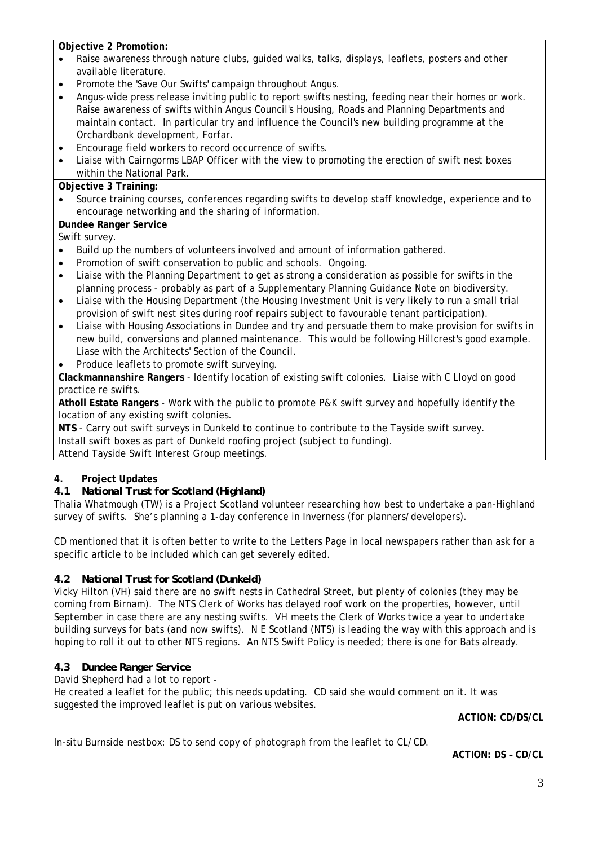**Objective 2 Promotion:** 

- Raise awareness through nature clubs, guided walks, talks, displays, leaflets, posters and other available literature.
- Promote the 'Save Our Swifts' campaign throughout Angus.
- Angus-wide press release inviting public to report swifts nesting, feeding near their homes or work. Raise awareness of swifts within Angus Council's Housing, Roads and Planning Departments and maintain contact. In particular try and influence the Council's new building programme at the Orchardbank development, Forfar.
- Encourage field workers to record occurrence of swifts.
- Liaise with Cairngorms LBAP Officer with the view to promoting the erection of swift nest boxes within the National Park.

## **Objective 3 Training:**

• Source training courses, conferences regarding swifts to develop staff knowledge, experience and to encourage networking and the sharing of information.

# **Dundee Ranger Service**

Swift survey.

- Build up the numbers of volunteers involved and amount of information gathered.
- Promotion of swift conservation to public and schools. Ongoing.
- Liaise with the Planning Department to get as strong a consideration as possible for swifts in the planning process - probably as part of a Supplementary Planning Guidance Note on biodiversity.
- Liaise with the Housing Department (the Housing Investment Unit is very likely to run a small trial provision of swift nest sites during roof repairs subject to favourable tenant participation).
- Liaise with Housing Associations in Dundee and try and persuade them to make provision for swifts in new build, conversions and planned maintenance. This would be following Hillcrest's good example. Liase with the Architects' Section of the Council.
- Produce leaflets to promote swift surveying.

**Clackmannanshire Rangers** - Identify location of existing swift colonies. Liaise with C Lloyd on good practice re swifts.

**Atholl Estate Rangers** - Work with the public to promote P&K swift survey and hopefully identify the location of any existing swift colonies.

**NTS** - Carry out swift surveys in Dunkeld to continue to contribute to the Tayside swift survey. Install swift boxes as part of Dunkeld roofing project (subject to funding). Attend Tayside Swift Interest Group meetings.

# **4. Project Updates**

# *4.1 National Trust for Scotland (Highland)*

Thalia Whatmough (TW) is a Project Scotland volunteer researching how best to undertake a pan-Highland survey of swifts. She's planning a 1-day conference in Inverness (for planners/developers).

CD mentioned that it is often better to write to the Letters Page in local newspapers rather than ask for a specific article to be included which can get severely edited.

# *4.2 National Trust for Scotland (Dunkeld)*

Vicky Hilton (VH) said there are no swift nests in Cathedral Street, but plenty of colonies (they may be coming from Birnam). The NTS Clerk of Works has delayed roof work on the properties, however, until September in case there are any nesting swifts. VH meets the Clerk of Works twice a year to undertake building surveys for bats (and now swifts). N E Scotland (NTS) is leading the way with this approach and is hoping to roll it out to other NTS regions. An NTS Swift Policy is needed; there is one for Bats already.

# *4.3 Dundee Ranger Service*

David Shepherd had a lot to report -

He created a leaflet for the public; this needs updating. CD said she would comment on it. It was suggested the improved leaflet is put on various websites.

**ACTION: CD/DS/CL** 

In-situ Burnside nestbox: DS to send copy of photograph from the leaflet to CL/CD.

**ACTION: DS – CD/CL**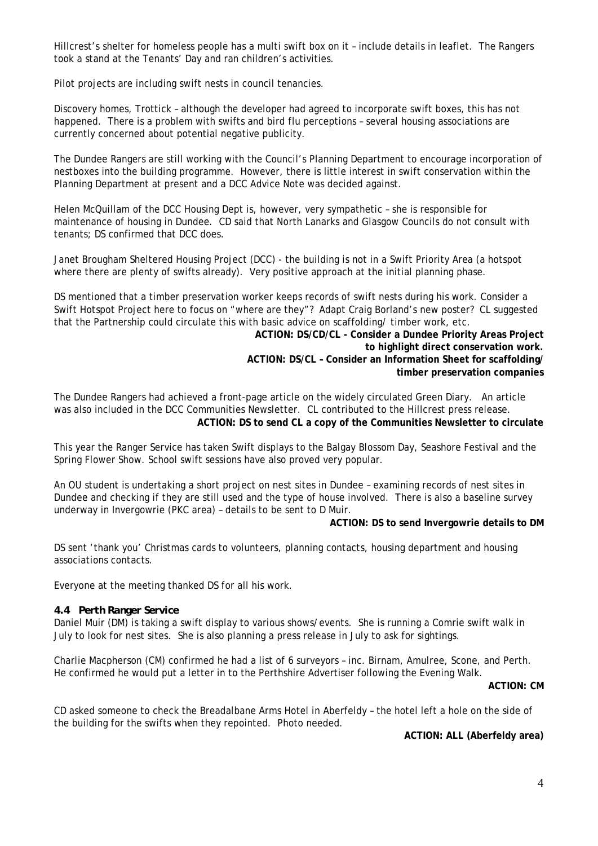Hillcrest's shelter for homeless people has a multi swift box on it – include details in leaflet. The Rangers took a stand at the Tenants' Day and ran children's activities.

Pilot projects are including swift nests in council tenancies.

Discovery homes, Trottick – although the developer had agreed to incorporate swift boxes, this has not happened. There is a problem with swifts and bird flu perceptions – several housing associations are currently concerned about potential negative publicity.

The Dundee Rangers are still working with the Council's Planning Department to encourage incorporation of nestboxes into the building programme. However, there is little interest in swift conservation within the Planning Department at present and a DCC Advice Note was decided against.

Helen McQuillam of the DCC Housing Dept is, however, very sympathetic – she is responsible for maintenance of housing in Dundee. CD said that North Lanarks and Glasgow Councils do not consult with tenants; DS confirmed that DCC does.

Janet Brougham Sheltered Housing Project (DCC) - the building is not in a Swift Priority Area (a hotspot where there are plenty of swifts already). Very positive approach at the initial planning phase.

DS mentioned that a timber preservation worker keeps records of swift nests during his work. Consider a Swift Hotspot Project here to focus on "where are they"? Adapt Craig Borland's new poster? CL suggested that the Partnership could circulate this with basic advice on scaffolding/ timber work, etc.

**ACTION: DS/CD/CL - Consider a Dundee Priority Areas Project to highlight direct conservation work. ACTION: DS/CL – Consider an Information Sheet for scaffolding/ timber preservation companies** 

The Dundee Rangers had achieved a front-page article on the widely circulated Green Diary. An article was also included in the DCC Communities Newsletter. CL contributed to the Hillcrest press release. **ACTION: DS to send CL a copy of the Communities Newsletter to circulate** 

This year the Ranger Service has taken Swift displays to the Balgay Blossom Day, Seashore Festival and the Spring Flower Show. School swift sessions have also proved very popular.

An OU student is undertaking a short project on nest sites in Dundee – examining records of nest sites in Dundee and checking if they are still used and the type of house involved. There is also a baseline survey underway in Invergowrie (PKC area) – details to be sent to D Muir.

#### **ACTION: DS to send Invergowrie details to DM**

DS sent 'thank you' Christmas cards to volunteers, planning contacts, housing department and housing associations contacts.

Everyone at the meeting thanked DS for all his work.

#### *4.4 Perth Ranger Service*

Daniel Muir (DM) is taking a swift display to various shows/events. She is running a Comrie swift walk in July to look for nest sites. She is also planning a press release in July to ask for sightings.

Charlie Macpherson (CM) confirmed he had a list of 6 surveyors – inc. Birnam, Amulree, Scone, and Perth. He confirmed he would put a letter in to the Perthshire Advertiser following the Evening Walk.

**ACTION: CM** 

CD asked someone to check the Breadalbane Arms Hotel in Aberfeldy – the hotel left a hole on the side of the building for the swifts when they repointed. Photo needed.

#### **ACTION: ALL (Aberfeldy area)**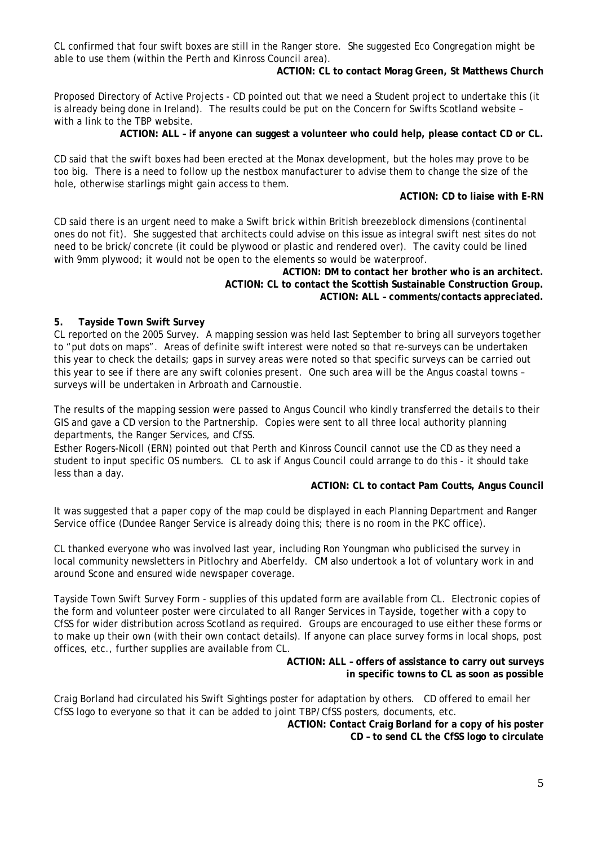CL confirmed that four swift boxes are still in the Ranger store. She suggested Eco Congregation might be able to use them (within the Perth and Kinross Council area).

**ACTION: CL to contact Morag Green, St Matthews Church** 

Proposed Directory of Active Projects - CD pointed out that we need a Student project to undertake this (it is already being done in Ireland). The results could be put on the Concern for Swifts Scotland website – with a link to the TBP website.

**ACTION: ALL – if anyone can suggest a volunteer who could help, please contact CD or CL.** 

CD said that the swift boxes had been erected at the Monax development, but the holes may prove to be too big. There is a need to follow up the nestbox manufacturer to advise them to change the size of the hole, otherwise starlings might gain access to them.

### **ACTION: CD to liaise with E-RN**

CD said there is an urgent need to make a Swift brick within British breezeblock dimensions (continental ones do not fit). She suggested that architects could advise on this issue as integral swift nest sites do not need to be brick/concrete (it could be plywood or plastic and rendered over). The cavity could be lined with 9mm plywood; it would not be open to the elements so would be waterproof.

> **ACTION: DM to contact her brother who is an architect. ACTION: CL to contact the Scottish Sustainable Construction Group. ACTION: ALL – comments/contacts appreciated.**

#### **5. Tayside Town Swift Survey**

CL reported on the 2005 Survey. A mapping session was held last September to bring all surveyors together to "put dots on maps". Areas of definite swift interest were noted so that re-surveys can be undertaken this year to check the details; gaps in survey areas were noted so that specific surveys can be carried out this year to see if there are any swift colonies present. One such area will be the Angus coastal towns – surveys will be undertaken in Arbroath and Carnoustie.

The results of the mapping session were passed to Angus Council who kindly transferred the details to their GIS and gave a CD version to the Partnership. Copies were sent to all three local authority planning departments, the Ranger Services, and CfSS.

Esther Rogers-Nicoll (ERN) pointed out that Perth and Kinross Council cannot use the CD as they need a student to input specific OS numbers. CL to ask if Angus Council could arrange to do this - it should take less than a day.

#### **ACTION: CL to contact Pam Coutts, Angus Council**

It was suggested that a paper copy of the map could be displayed in each Planning Department and Ranger Service office (Dundee Ranger Service is already doing this; there is no room in the PKC office).

CL thanked everyone who was involved last year, including Ron Youngman who publicised the survey in local community newsletters in Pitlochry and Aberfeldy. CM also undertook a lot of voluntary work in and around Scone and ensured wide newspaper coverage.

Tayside Town Swift Survey Form - supplies of this updated form are available from CL. Electronic copies of the form and volunteer poster were circulated to all Ranger Services in Tayside, together with a copy to CfSS for wider distribution across Scotland as required. Groups are encouraged to use either these forms or to make up their own (with their own contact details). If anyone can place survey forms in local shops, post offices, etc., further supplies are available from CL.

#### **ACTION: ALL – offers of assistance to carry out surveys in specific towns to CL as soon as possible**

Craig Borland had circulated his Swift Sightings poster for adaptation by others. CD offered to email her CfSS logo to everyone so that it can be added to joint TBP/CfSS posters, documents, etc.

> **ACTION: Contact Craig Borland for a copy of his poster CD – to send CL the CfSS logo to circulate**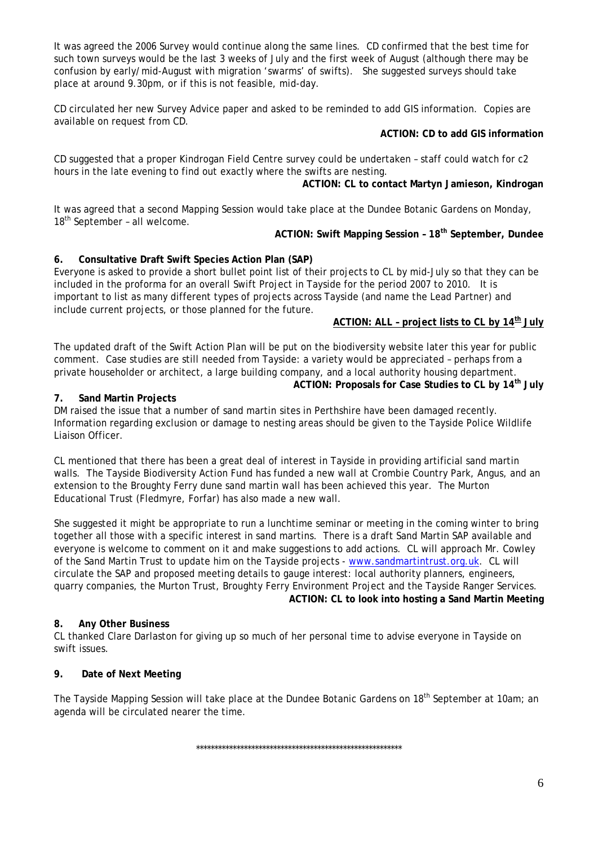It was agreed the 2006 Survey would continue along the same lines. CD confirmed that the best time for such town surveys would be the last 3 weeks of July and the first week of August (although there may be confusion by early/mid-August with migration 'swarms' of swifts). She suggested surveys should take place at around 9.30pm, or if this is not feasible, mid-day.

CD circulated her new Survey Advice paper and asked to be reminded to add GIS information. Copies are available on request from CD.

### **ACTION: CD to add GIS information**

CD suggested that a proper Kindrogan Field Centre survey could be undertaken – staff could watch for c2 hours in the late evening to find out exactly where the swifts are nesting.

**ACTION: CL to contact Martyn Jamieson, Kindrogan** 

It was agreed that a second Mapping Session would take place at the Dundee Botanic Gardens on Monday,  $18<sup>th</sup>$  September - all welcome.

### ACTION: Swift Mapping Session - 18<sup>th</sup> September, Dundee

### **6. Consultative Draft Swift Species Action Plan (SAP)**

Everyone is asked to provide a short bullet point list of their projects to CL by mid-July so that they can be included in the proforma for an overall Swift Project in Tayside for the period 2007 to 2010. It is important to list as many different types of projects across Tayside (and name the Lead Partner) and include current projects, or those planned for the future.

# **ACTION: ALL – project lists to CL by 14th July**

The updated draft of the Swift Action Plan will be put on the biodiversity website later this year for public comment. Case studies are still needed from Tayside: a variety would be appreciated – perhaps from a private householder or architect, a large building company, and a local authority housing department. **ACTION: Proposals for Case Studies to CL by 14<sup>th</sup> July**<br>  **7.** Sand Martin Projects

DM raised the issue that a number of sand martin sites in Perthshire have been damaged recently. Information regarding exclusion or damage to nesting areas should be given to the Tayside Police Wildlife Liaison Officer.

CL mentioned that there has been a great deal of interest in Tayside in providing artificial sand martin walls. The Tayside Biodiversity Action Fund has funded a new wall at Crombie Country Park, Angus, and an extension to the Broughty Ferry dune sand martin wall has been achieved this year. The Murton Educational Trust (Fledmyre, Forfar) has also made a new wall.

She suggested it might be appropriate to run a lunchtime seminar or meeting in the coming winter to bring together all those with a specific interest in sand martins. There is a draft Sand Martin SAP available and everyone is welcome to comment on it and make suggestions to add actions. CL will approach Mr. Cowley of the Sand Martin Trust to update him on the Tayside projects - [www.sandmartintrust.org.uk](http://www.sandmartintrust.org.uk/). CL will circulate the SAP and proposed meeting details to gauge interest: local authority planners, engineers, quarry companies, the Murton Trust, Broughty Ferry Environment Project and the Tayside Ranger Services. **ACTION: CL to look into hosting a Sand Martin Meeting** 

#### **8. Any Other Business**

CL thanked Clare Darlaston for giving up so much of her personal time to advise everyone in Tayside on swift issues.

#### **9. Date of Next Meeting**

The Tayside Mapping Session will take place at the Dundee Botanic Gardens on 18<sup>th</sup> September at 10am; an agenda will be circulated nearer the time.

\*\*\*\*\*\*\*\*\*\*\*\*\*\*\*\*\*\*\*\*\*\*\*\*\*\*\*\*\*\*\*\*\*\*\*\*\*\*\*\*\*\*\*\*\*\*\*\*\*\*\*\*\*\*\*\*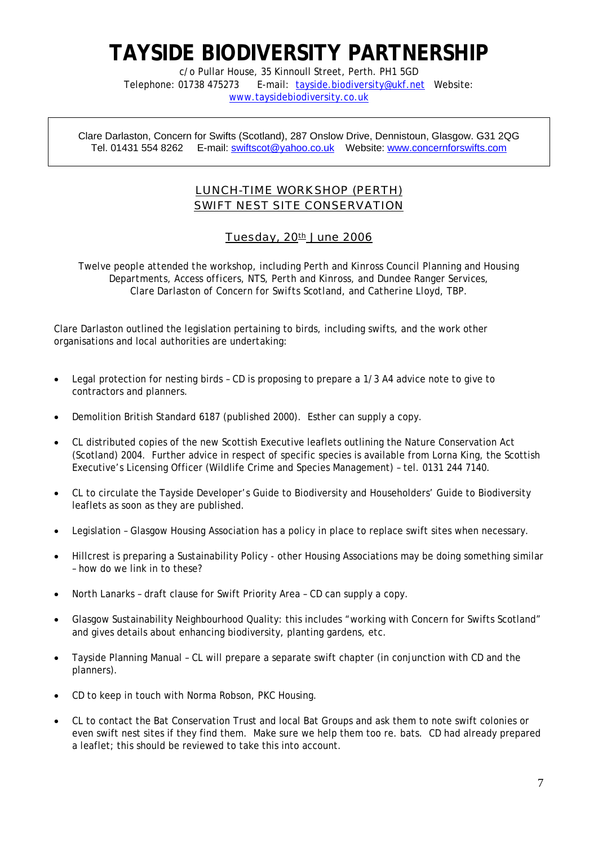# **TAYSIDE BIODIVERSITY PARTNERSHIP**

c/o Pullar House, 35 Kinnoull Street, Perth. PH1 5GD Telephone: 01738 475273 E-mail: [tayside.biodiversity@ukf.net](mailto:tayside.biodiversity@ukf.net) Website: [www.taysidebiodiversity.co.uk](http://www.taysidebiodiversity.co.uk/)

Clare Darlaston, Concern for Swifts (Scotland), 287 Onslow Drive, Dennistoun, Glasgow. G31 2QG Tel. 01431 554 8262 E-mail: [swiftscot@yahoo.co.uk](mailto:swiftscot@yahoo.co.uk) Website: www.concernforswifts.com

# LUNCH-TIME WORKSHOP (PERTH) SWIFT NEST SITE CONSERVATION

# Tuesday, 20th June 2006

*Twelve people attended the workshop, including Perth and Kinross Council Planning and Housing Departments, Access officers, NTS, Perth and Kinross, and Dundee Ranger Services, Clare Darlaston of Concern for Swifts Scotland, and Catherine Lloyd, TBP.*

Clare Darlaston outlined the legislation pertaining to birds, including swifts, and the work other organisations and local authorities are undertaking:

- Legal protection for nesting birds CD is proposing to prepare a 1/3 A4 advice note to give to contractors and planners.
- Demolition British Standard 6187 (published 2000). Esther can supply a copy.
- CL distributed copies of the new Scottish Executive leaflets outlining the Nature Conservation Act (Scotland) 2004. Further advice in respect of specific species is available from Lorna King, the Scottish Executive's Licensing Officer (Wildlife Crime and Species Management) – tel. 0131 244 7140.
- CL to circulate the Tayside Developer's Guide to Biodiversity and Householders' Guide to Biodiversity leaflets as soon as they are published.
- Legislation Glasgow Housing Association has a policy in place to replace swift sites when necessary.
- Hillcrest is preparing a Sustainability Policy other Housing Associations may be doing something similar – how do we link in to these?
- North Lanarks draft clause for Swift Priority Area CD can supply a copy.
- Glasgow Sustainability Neighbourhood Quality: this includes "working with Concern for Swifts Scotland" and gives details about enhancing biodiversity, planting gardens, etc.
- Tayside Planning Manual CL will prepare a separate swift chapter (in conjunction with CD and the planners).
- CD to keep in touch with Norma Robson, PKC Housing.
- CL to contact the Bat Conservation Trust and local Bat Groups and ask them to note swift colonies or even swift nest sites if they find them. Make sure we help them too re. bats. CD had already prepared a leaflet; this should be reviewed to take this into account.